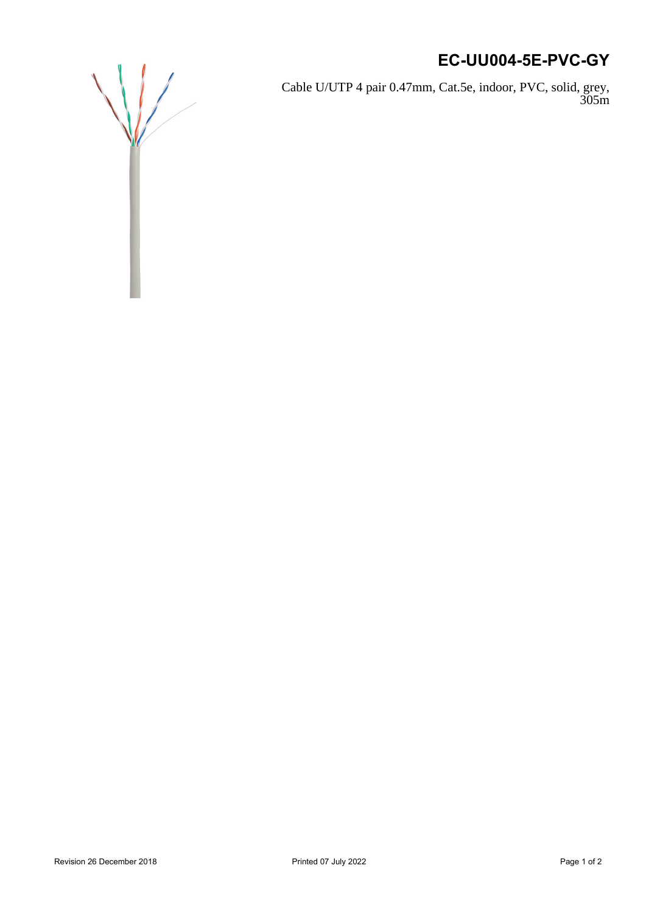## **EC-UU004-5E-PVC-GY**

Cable U/UTP 4 pair 0.47mm, Cat.5e, indoor, PVC, solid, grey, 305m